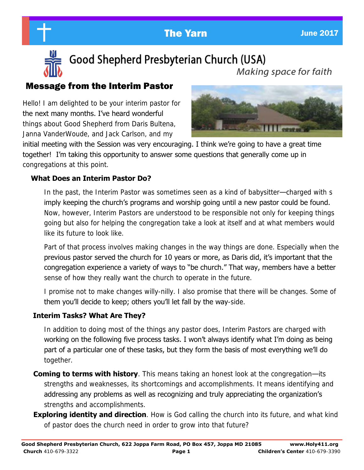



Good Shepherd Presbyterian Church (USA) Making space for faith

# Message from the Interim Pastor

Hello! I am delighted to be your interim pastor for the next many months. I've heard wonderful things about Good Shepherd from Daris Bultena, Janna VanderWoude, and Jack Carlson, and my



initial meeting with the Session was very encouraging. I think we're going to have a great time together! I'm taking this opportunity to answer some questions that generally come up in congregations at this point.

## **What Does an Interim Pastor Do?**

 In the past, the Interim Pastor was sometimes seen as a kind of babysitter—charged with s imply keeping the church's programs and worship going until a new pastor could be found. Now, however, Interim Pastors are understood to be responsible not only for keeping things going but also for helping the congregation take a look at itself and at what members would like its future to look like.

 Part of that process involves making changes in the way things are done. Especially when the previous pastor served the church for 10 years or more, as Daris did, it's important that the congregation experience a variety of ways to "be church." That way, members have a better sense of how they really want the church to operate in the future.

I promise not to make changes willy-nilly. I also promise that there will be changes. Some of them you'll decide to keep; others you'll let fall by the way-side.

## **Interim Tasks? What Are They?**

 In addition to doing most of the things any pastor does, Interim Pastors are charged with working on the following five process tasks. I won't always identify what I'm doing as being part of a particular one of these tasks, but they form the basis of most everything we'll do together.

- **Coming to terms with history**. This means taking an honest look at the congregation—its strengths and weaknesses, its shortcomings and accomplishments. It means identifying and addressing any problems as well as recognizing and truly appreciating the organization's strengths and accomplishments.
- **Exploring identity and direction**. How is God calling the church into its future, and what kind of pastor does the church need in order to grow into that future?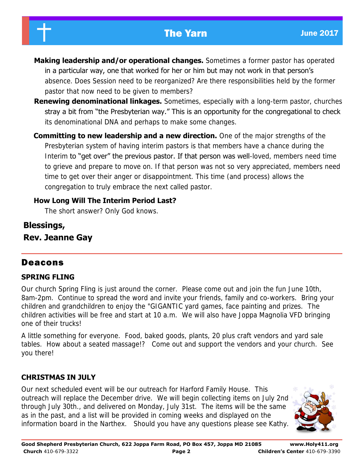# The Yarn **International Contract Contract Contract Contract Contract Contract Contract Contract Contract Contract Contract Contract Contract Contract Contract Contract Contract Contract Contract Contract Contract Contract**



- **Making leadership and/or operational changes.** Sometimes a former pastor has operated in a particular way, one that worked for her or him but may not work in that person's absence. Does Session need to be reorganized? Are there responsibilities held by the former pastor that now need to be given to members?
- **Renewing denominational linkages.** Sometimes, especially with a long-term pastor, churches stray a bit from "the Presbyterian way." This is an opportunity for the congregational to check its denominational DNA and perhaps to make some changes.
- **Committing to new leadership and a new direction.** One of the major strengths of the Presbyterian system of having interim pastors is that members have a chance during the Interim to "get over" the previous pastor. If that person was well-loved, members need time to grieve and prepare to move on. If that person was not so very appreciated, members need time to get over their anger or disappointment. This time (and process) allows the congregation to truly embrace the next called pastor.

## **How Long Will The Interim Period Last?**

The short answer? Only God knows.

**Blessings, Rev. Jeanne Gay** 

# Deacons

## **SPRING FLING**

Our church Spring Fling is just around the corner. Please come out and join the fun June 10th, 8am-2pm. Continue to spread the word and invite your friends, family and co-workers. Bring your children and grandchildren to enjoy the "GIGANTIC yard games, face painting and prizes. The children activities will be free and start at 10 a.m. We will also have Joppa Magnolia VFD bringing one of their trucks!

A little something for everyone. Food, baked goods, plants, 20 plus craft vendors and yard sale tables. How about a seated massage!? Come out and support the vendors and your church. See you there!

## **CHRISTMAS IN JULY**

Our next scheduled event will be our outreach for Harford Family House. This outreach will replace the December drive. We will begin collecting items on July 2nd through July 30th., and delivered on Monday, July 31st. The items will be the same as in the past, and a list will be provided in coming weeks and displayed on the information board in the Narthex. Should you have any questions please see Kathy.

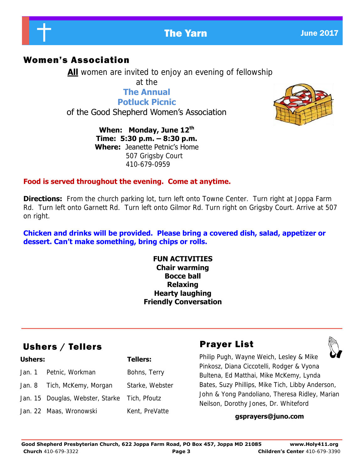

# **The Yarn June 2017**

## Women's Association

**All** women are invited to enjoy an evening of fellowship at the

> **The Annual Potluck Picnic**

of the Good Shepherd Women's Association

**When: Monday, June 12th Time: 5:30 p.m. – 8:30 p.m. Where:** Jeanette Petnic's Home 507 Grigsby Court 410-679-0959



### **Food is served throughout the evening. Come at anytime.**

**Directions:** From the church parking lot, turn left onto Towne Center. Turn right at Joppa Farm Rd. Turn left onto Garnett Rd. Turn left onto Gilmor Rd. Turn right on Grigsby Court. Arrive at 507 on right.

**Chicken and drinks will be provided. Please bring a covered dish, salad, appetizer or dessert. Can't make something, bring chips or rolls.**

#### **FUN ACTIVITIES Chair warming Bocce ball Relaxing Hearty laughing Friendly Conversation**

# Ushers / Tellers **Prayer List**

| <b>Ushers:</b> |                                               | <b>Tellers:</b> |
|----------------|-----------------------------------------------|-----------------|
|                | Jan. 1 Petnic, Workman                        | Bohns, Terry    |
|                | Jan. 8 Tich, McKemy, Morgan                   | Starke, Webster |
|                | Jan. 15 Douglas, Webster, Starke Tich, Pfoutz |                 |
|                | Jan. 22 Maas, Wronowski                       | Kent, PreVatte  |

Philip Pugh, Wayne Weich, Lesley & Mike Pinkosz, Diana Ciccotelli, Rodger & Vyona Bultena, Ed Matthai, Mike McKemy, Lynda Bates, Suzy Phillips, Mike Tich, Libby Anderson, John & Yong Pandoliano, Theresa Ridley, Marian Neilson, Dorothy Jones, Dr. Whiteford

#### **gsprayers@juno.com**

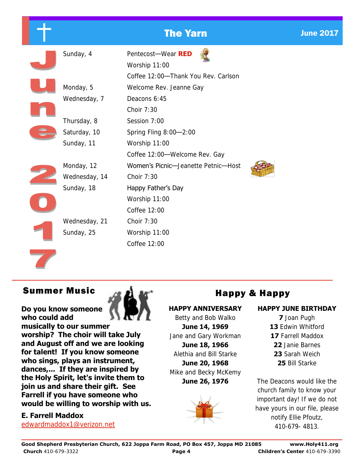# **The Yarn June 2017**

|  | Sunday, 4     | Pentecost-Wear RED<br>Worship 11:00 |
|--|---------------|-------------------------------------|
|  |               | Coffee 12:00-Thank You Rev. Carlson |
|  | Monday, 5     | Welcome Rev. Jeanne Gay             |
|  | Wednesday, 7  | Deacons 6:45                        |
|  |               | Choir 7:30                          |
|  | Thursday, 8   | Session 7:00                        |
|  | Saturday, 10  | Spring Fling 8:00-2:00              |
|  | Sunday, 11    | Worship 11:00                       |
|  |               | Coffee 12:00-Welcome Rev. Gay       |
|  | Monday, 12    | Women's Picnic-Jeanette Petnic-Host |
|  | Wednesday, 14 | Choir 7:30                          |
|  | Sunday, 18    | Happy Father's Day                  |
|  |               | Worship 11:00                       |
|  |               | Coffee 12:00                        |
|  | Wednesday, 21 | Choir 7:30                          |
|  | Sunday, 25    | Worship 11:00                       |
|  |               | Coffee 12:00                        |
|  |               |                                     |

# Summer Music  $\alpha$  of  $\mathbb{R}^4$

#### **Do you know someone who could add**

**musically to our summer worship? The choir will take July and August off and we are looking for talent! If you know someone who sings, plays an instrument, dances,... If they are inspired by the Holy Spirit, let's invite them to join us and share their gift. See Farrell if you have someone who would be willing to worship with us.** 

#### **E. Farrell Maddox**

[edwardmaddox1@verizon.net](mailto:edwardmaddox1@verizon.net)



#### **HAPPY ANNIVERSARY**

Betty and Bob Walko **June 14, 1969**  Jane and Gary Workman **June 18, 1966** 

Alethia and Bill Starke **June 20, 1968** 

Mike and Becky McKemy

**June 26, 1976** 



### **HAPPY JUNE BIRTHDAY**

- **7** Joan Pugh **13** Edwin Whitford **17** Farrell Maddox **22** Janie Barnes **23** Sarah Weich
	- **25** Bill Starke

The Deacons would like the church family to know your important day! If we do not have yours in our file, please notify Ellie Pfoutz, 410-679- 4813.